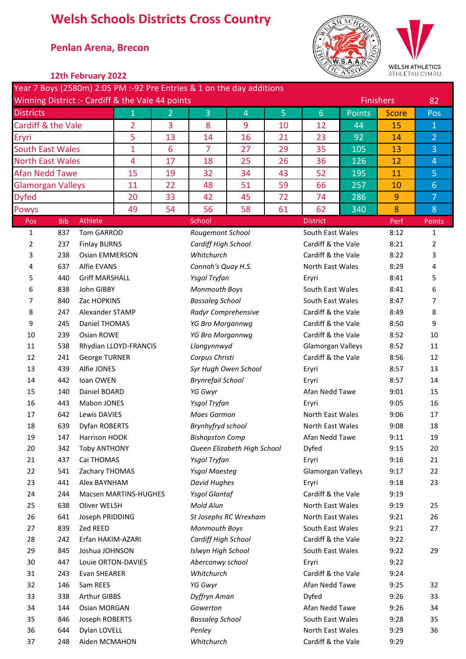# **Welsh Schools Districts Cross Country**

## \* **Penlan Arena, Brecon**



WELSH ATHLETICS<br>ATHLETAU CYMRU

|  | 12th February 2022 |
|--|--------------------|
|--|--------------------|

|                                 |            |                                      | Year 7 Boys (2580m) 2:05 PM :-92 Pre Entries & 1 on the day additions<br>Winning District :- Cardiff & the Vale 44 points |    |                          |                             |                |                                      |              | <b>Finishers</b> |                |  |
|---------------------------------|------------|--------------------------------------|---------------------------------------------------------------------------------------------------------------------------|----|--------------------------|-----------------------------|----------------|--------------------------------------|--------------|------------------|----------------|--|
| <b>Districts</b><br>$\mathbf 1$ |            |                                      | 2                                                                                                                         | 3  | $\overline{4}$           | 5                           | $6\phantom{1}$ | <b>Points</b>                        | <b>Score</b> | Pos              |                |  |
| Cardiff & the Vale              |            |                                      | $\overline{2}$                                                                                                            | 3  | 8                        | 9                           | 10             | 12                                   | 44           | 15               | $\mathbf{1}$   |  |
| Eryri                           |            |                                      | 5                                                                                                                         | 13 | 14                       | 16                          | 21             | 23                                   | 92           | 14               | $\overline{2}$ |  |
| <b>South East Wales</b>         |            |                                      | 1                                                                                                                         | 6  | $\overline{7}$           | 27                          | 29             | 35                                   | 105          | 13               | 3              |  |
| <b>North East Wales</b>         |            |                                      | 4                                                                                                                         | 17 | 18                       | 25                          | 26             | 36                                   | 126          | 12               | $\overline{4}$ |  |
| <b>Afan Nedd Tawe</b>           |            |                                      | 15                                                                                                                        | 19 | 32                       | 34                          | 43             | 52                                   | 195          | 11               | 5              |  |
| <b>Glamorgan Valleys</b>        |            |                                      | 11                                                                                                                        | 22 | 48                       | 51                          | 59             | 66                                   | 257          | 10               | $6\phantom{1}$ |  |
| <b>Dyfed</b>                    |            |                                      | 20                                                                                                                        | 33 | 42                       | 45                          | 72             | 74                                   | 286          | 9                | $\overline{7}$ |  |
| <b>Powys</b>                    |            |                                      | 49                                                                                                                        | 54 | 56                       | 58                          | 61             | 62                                   | 340          | 8                | 8              |  |
| Pos                             | <b>Bib</b> | Athlete                              |                                                                                                                           |    | School                   |                             |                | <b>District</b>                      |              | Perf             | Points         |  |
| 1                               | 837        | <b>Tom GARROD</b>                    |                                                                                                                           |    | Rougemont School         |                             |                | South East Wales                     |              | 8:12             | 1              |  |
| 2                               | 237        | <b>Finlay BURNS</b>                  |                                                                                                                           |    | Cardiff High School      |                             |                | Cardiff & the Vale                   |              | 8:21             | 2              |  |
| 3                               | 238        | <b>Osian EMMERSON</b>                |                                                                                                                           |    | Whitchurch               |                             |                | Cardiff & the Vale                   |              | 8:22             | 3              |  |
| 4                               | 637        | Alfie EVANS                          |                                                                                                                           |    | Connah's Quay H.S.       |                             |                | North East Wales                     |              | 8:29             | 4              |  |
| 5                               | 440        | <b>Griff MARSHALL</b>                |                                                                                                                           |    | Ysgol Tryfan             |                             |                | Eryri                                |              | 8:41             | 5              |  |
| 6                               | 838        | John GIBBY                           |                                                                                                                           |    | Monmouth Boys            |                             |                | South East Wales                     |              | 8:41             | 6              |  |
| 7                               | 840        | Zac HOPKINS                          |                                                                                                                           |    | <b>Bassaleg School</b>   |                             |                | South East Wales                     |              | 8:47             | 7              |  |
| 8                               | 247        | Alexander STAMP                      |                                                                                                                           |    |                          | Radyr Comprehensive         |                | Cardiff & the Vale                   |              | 8:49             | 8              |  |
| 9                               | 245        | Daniel THOMAS                        |                                                                                                                           |    | YG Bro Morgannwg         |                             |                | Cardiff & the Vale                   |              | 8:50             | 9              |  |
| 10                              | 239        | Osian ROWE                           |                                                                                                                           |    | YG Bro Morgannwg         |                             |                | Cardiff & the Vale                   |              | 8:52             | 10             |  |
| 11                              | 538        |                                      | Rhydian LLOYD-FRANCIS                                                                                                     |    | Llangynnwyd              |                             |                | Glamorgan Valleys                    |              | 8:52             | 11             |  |
| 12                              | 241        | <b>George TURNER</b>                 |                                                                                                                           |    | Corpus Christi           |                             |                | Cardiff & the Vale                   |              | 8:56             | 12             |  |
| 13                              | 439        | Alfie JONES                          |                                                                                                                           |    |                          | Syr Hugh Owen School        |                | Eryri                                |              | 8:57             | 13             |  |
| 14                              | 442        | Ioan OWEN                            |                                                                                                                           |    | <b>Brynrefail School</b> |                             |                | Eryri                                |              | 8:57             | 14             |  |
| 15                              | 140        | Daniel BOARD                         |                                                                                                                           |    | YG Gwyr                  |                             |                | Afan Nedd Tawe                       |              | 9:01             | 15             |  |
| 16                              | 443        | Mabon JONES<br>Lewis DAVIES          |                                                                                                                           |    | Ysgol Tryfan             |                             |                | Eryri                                |              | 9:05             | 16             |  |
| 17<br>18                        | 642<br>639 | Dyfan ROBERTS                        |                                                                                                                           |    | <b>Maes Garmon</b>       |                             |                | North East Wales<br>North East Wales |              | 9:06<br>9:08     | 17             |  |
|                                 |            |                                      |                                                                                                                           |    | Brynhyfryd school        |                             |                | Afan Nedd Tawe                       |              |                  | 18             |  |
| 19<br>20                        | 147<br>342 | Harrison HOOK<br><b>Toby ANTHONY</b> |                                                                                                                           |    | <b>Bishopston Comp</b>   | Queen Elizabeth High School |                | Dyfed                                |              | 9:11<br>9:15     | 19<br>20       |  |
| 21                              | 437        | Cai THOMAS                           |                                                                                                                           |    | Ysgol Tryfan             |                             |                | Eryri                                |              | 9:16             | 21             |  |
| 22                              | 541        | Zachary THOMAS                       |                                                                                                                           |    | <b>Ysgol Maesteg</b>     |                             |                | Glamorgan Valleys                    |              | 9:17             | 22             |  |
| 23                              | 441        | Alex BAYNHAM                         |                                                                                                                           |    | David Hughes             |                             |                | Eryri                                |              | 9:18             | 23             |  |
| 24                              | 244        |                                      | Macsen MARTINS-HUGHES                                                                                                     |    | <b>Ysgol Glantaf</b>     |                             |                | Cardiff & the Vale                   |              | 9:19             |                |  |
| 25                              | 638        | Oliver WELSH                         |                                                                                                                           |    | Mold Alun                |                             |                | North East Wales                     |              | 9:19             | 25             |  |
| 26                              | 641        | Joseph PRIDDING                      |                                                                                                                           |    |                          | St Josephs RC Wrexham       |                | North East Wales                     |              | 9:21             | 26             |  |
| 27                              | 839        | Zed REED                             |                                                                                                                           |    | Monmouth Boys            |                             |                | South East Wales                     |              | 9:21             | 27             |  |
| 28                              | 242        | Erfan HAKIM-AZARI                    |                                                                                                                           |    | Cardiff High School      |                             |                | Cardiff & the Vale                   |              | 9:22             |                |  |
| 29                              | 845        | Joshua JOHNSON                       |                                                                                                                           |    | Islwyn High School       |                             |                | South East Wales                     |              | 9:22             | 29             |  |
| 30                              | 447        |                                      | Louie ORTON-DAVIES                                                                                                        |    | Aberconwy school         |                             |                | Eryri                                |              | 9:22             |                |  |
| 31                              | 243        | Evan SHEARER                         |                                                                                                                           |    | Whitchurch               |                             |                | Cardiff & the Vale                   |              | 9:24             |                |  |
| 32                              | 146        | Sam REES                             |                                                                                                                           |    | YG Gwyr                  |                             |                | Afan Nedd Tawe                       |              | 9:25             | 32             |  |
| 33                              | 338        | <b>Arthur GIBBS</b>                  |                                                                                                                           |    | Dyffryn Aman             |                             |                | Dyfed                                |              | 9:26             | 33             |  |
| 34                              | 144        | Osian MORGAN                         |                                                                                                                           |    | Gowerton                 |                             |                | Afan Nedd Tawe                       |              | 9:26             | 34             |  |
| 35                              | 846        | Joseph ROBERTS                       |                                                                                                                           |    | <b>Bassaleg School</b>   |                             |                | South East Wales                     |              | 9:28             | 35             |  |
| 36                              | 644        | Dylan LOVELL                         |                                                                                                                           |    | Penley                   |                             |                | North East Wales                     |              | 9:29             | 36             |  |
| 37                              | 248        | Aiden MCMAHON                        |                                                                                                                           |    | Whitchurch               |                             |                | Cardiff & the Vale<br>9:29           |              |                  |                |  |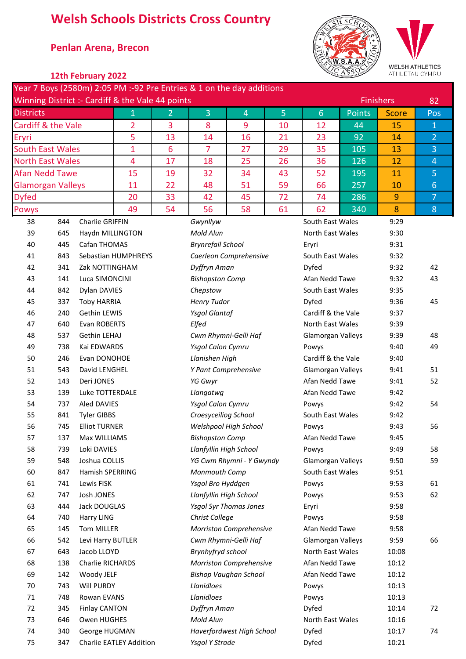# **Welsh Schools Districts Cross Country**

## \* **Penlan Arena, Brecon**



WELSH ATHLETICS<br>ATHLETAU CYMRU

| 12th February 2022 |  |
|--------------------|--|
|--------------------|--|

|                                                  |            |                              |                                |                | Year 7 Boys (2580m) 2:05 PM :-92 Pre Entries & 1 on the day additions |                                |                  |                            |              |                  |                 |
|--------------------------------------------------|------------|------------------------------|--------------------------------|----------------|-----------------------------------------------------------------------|--------------------------------|------------------|----------------------------|--------------|------------------|-----------------|
| Winning District :- Cardiff & the Vale 44 points |            |                              |                                |                |                                                                       |                                |                  |                            |              | <b>Finishers</b> | 82              |
| <b>Districts</b>                                 |            | $\mathbf{1}$                 | $\overline{2}$                 | 3              | 4                                                                     | 5                              | $6 \overline{6}$ | <b>Points</b>              | <b>Score</b> | Pos              |                 |
| Cardiff & the Vale                               |            |                              | $\overline{2}$                 | 3              | 8                                                                     | 9                              | 10               | 12                         | 44           | 15               | $\mathbf 1$     |
| 5<br>Eryri                                       |            |                              | 13                             | 14             | 16                                                                    | 21                             | 23               | 92                         | 14           | $\overline{2}$   |                 |
| <b>South East Wales</b>                          |            |                              | 1                              | $6\phantom{1}$ | $\overline{7}$                                                        | 27                             | 29               | 35                         | 105          | 13               | 3               |
| <b>North East Wales</b>                          |            |                              | $\overline{4}$                 | 17             | 18                                                                    | 25                             | 26               | 36                         | 126          | 12               | $\overline{4}$  |
| <b>Afan Nedd Tawe</b>                            |            |                              | 15                             | 19             | 32                                                                    | 34                             | 43               | 52                         | 195          | 11               | 5               |
| <b>Glamorgan Valleys</b>                         |            |                              | 11                             | 22             | 48                                                                    | 51                             | 59               | 66                         | 257          | 10               | $6\phantom{1}6$ |
| <b>Dyfed</b>                                     |            |                              | 20                             | 33             | 42                                                                    | 45                             | 72               | 74                         | 286          | $\overline{9}$   | $\overline{7}$  |
| <b>Powys</b>                                     |            |                              | 49                             | 54             | 56                                                                    | 58                             | 61               | 62                         | 340          | 8                | 8               |
| 38                                               | 844        | Charlie GRIFFIN              |                                |                | Gwynllyw                                                              |                                |                  | South East Wales           |              | 9:29             |                 |
| 39                                               | 645        | Haydn MILLINGTON             |                                |                | Mold Alun                                                             |                                |                  | North East Wales           |              | 9:30             |                 |
| 40                                               | 445        | Cafan THOMAS                 |                                |                | <b>Brynrefail School</b>                                              |                                |                  | Eryri                      |              | 9:31             |                 |
| 41                                               | 843        |                              | Sebastian HUMPHREYS            |                |                                                                       | Caerleon Comprehensive         |                  | South East Wales           |              | 9:32             |                 |
| 42                                               | 341        | Zak NOTTINGHAM               |                                |                | Dyffryn Aman                                                          |                                |                  | Dyfed                      |              | 9:32             | 42              |
| 43                                               | 141        | Luca SIMONCINI               |                                |                | <b>Bishopston Comp</b>                                                |                                |                  | Afan Nedd Tawe             |              | 9:32             | 43              |
| 44                                               | 842        | Dylan DAVIES                 |                                |                | Chepstow                                                              |                                |                  | South East Wales           |              | 9:35             |                 |
| 45                                               | 337        | <b>Toby HARRIA</b>           |                                |                | <b>Henry Tudor</b>                                                    |                                |                  | Dyfed                      |              | 9:36             | 45              |
| 46                                               | 240        | Gethin LEWIS                 |                                |                | <b>Ysgol Glantaf</b>                                                  |                                |                  | Cardiff & the Vale         |              | 9:37             |                 |
| 47                                               | 640        | Evan ROBERTS                 |                                |                | Elfed                                                                 |                                |                  | North East Wales           |              | 9:39             |                 |
| 48                                               | 537        | Gethin LEHAJ                 |                                |                |                                                                       | Cwm Rhymni-Gelli Haf           |                  | Glamorgan Valleys          |              | 9:39             | 48              |
| 49                                               | 738        | Kai EDWARDS                  |                                |                | Ysgol Calon Cymru                                                     |                                |                  | Powys                      |              | 9:40             | 49              |
| 50                                               | 246        | Evan DONOHOE                 |                                |                | Llanishen High                                                        |                                |                  | Cardiff & the Vale         |              | 9:40             |                 |
| 51                                               | 543        | David LENGHEL                |                                |                | Y Pant Comprehensive                                                  |                                |                  | Glamorgan Valleys          |              | 9:41             | 51              |
| 52                                               | 143        | Deri JONES                   |                                |                | YG Gwyr                                                               |                                |                  | Afan Nedd Tawe             |              | 9:41             | 52              |
| 53                                               | 139        | Luke TOTTERDALE              |                                |                | Llangatwg                                                             |                                |                  | Afan Nedd Tawe             |              | 9:42             |                 |
| 54                                               | 737        | <b>Aled DAVIES</b>           |                                |                | Ysgol Calon Cymru                                                     |                                |                  | Powys                      |              | 9:42             | 54              |
| 55                                               | 841        | <b>Tyler GIBBS</b>           |                                |                | Croesyceiliog School                                                  |                                |                  | South East Wales           |              | 9:42             |                 |
| 56                                               | 745        | <b>Elliot TURNER</b>         |                                |                |                                                                       | Welshpool High School          |                  | Powys                      |              | 9:43             | 56              |
| 57                                               | 137        | Max WILLIAMS                 |                                |                | <b>Bishopston Comp</b>                                                |                                |                  | Afan Nedd Tawe             |              | 9:45             |                 |
| 58<br>59                                         | 739        | Loki DAVIES<br>Joshua COLLIS |                                |                | Llanfyllin High School                                                |                                |                  | Powys<br>Glamorgan Valleys |              | 9:49             | 58<br>59        |
| 60                                               | 548<br>847 | Hamish SPERRING              |                                |                | Monmouth Comp                                                         | YG Cwm Rhymni - Y Gwyndy       |                  | South East Wales           |              | 9:50<br>9:51     |                 |
| 61                                               | 741        | Lewis FISK                   |                                |                | Ysgol Bro Hyddgen                                                     |                                |                  | Powys                      |              | 9:53             | 61              |
| 62                                               | 747        | Josh JONES                   |                                |                | Llanfyllin High School                                                |                                |                  | Powys                      |              | 9:53             | 62              |
| 63                                               | 444        | Jack DOUGLAS                 |                                |                |                                                                       | <b>Ysgol Syr Thomas Jones</b>  |                  | Eryri                      |              | 9:58             |                 |
| 64                                               | 740        | Harry LING                   |                                |                | Christ College                                                        |                                |                  | Powys                      |              | 9:58             |                 |
| 65                                               | 145        | <b>Tom MILLER</b>            |                                |                |                                                                       | <b>Morriston Comprehensive</b> |                  | Afan Nedd Tawe             |              | 9:58             |                 |
| 66                                               | 542        | Levi Harry BUTLER            |                                |                |                                                                       | Cwm Rhymni-Gelli Haf           |                  | Glamorgan Valleys          |              | 9:59             | 66              |
| 67                                               | 643        | Jacob LLOYD                  |                                |                | Brynhyfryd school                                                     |                                |                  | North East Wales           |              | 10:08            |                 |
| 68                                               | 138        | Charlie RICHARDS             |                                |                |                                                                       | Morriston Comprehensive        |                  | Afan Nedd Tawe             |              | 10:12            |                 |
| 69                                               | 142        | Woody JELF                   |                                |                |                                                                       | <b>Bishop Vaughan School</b>   |                  | Afan Nedd Tawe             |              | 10:12            |                 |
| 70                                               | 743        | Will PURDY                   |                                |                | Llanidloes                                                            |                                |                  | Powys                      |              | 10:13            |                 |
| 71                                               | 748        | Rowan EVANS                  |                                |                | Llanidloes                                                            |                                |                  | Powys                      |              | 10:13            |                 |
| 72                                               | 345        | <b>Finlay CANTON</b>         |                                |                | Dyffryn Aman                                                          |                                |                  | Dyfed                      |              | 10:14            | 72              |
| 73                                               | 646        | Owen HUGHES                  |                                |                | Mold Alun                                                             |                                |                  | North East Wales           |              | 10:16            |                 |
| 74                                               | 340        | George HUGMAN                |                                |                |                                                                       | Haverfordwest High School      |                  | Dyfed                      |              | 10:17            | 74              |
| 75                                               | 347        |                              | <b>Charlie EATLEY Addition</b> |                | <b>Ysgol Y Strade</b>                                                 |                                |                  | Dyfed                      |              | 10:21            |                 |